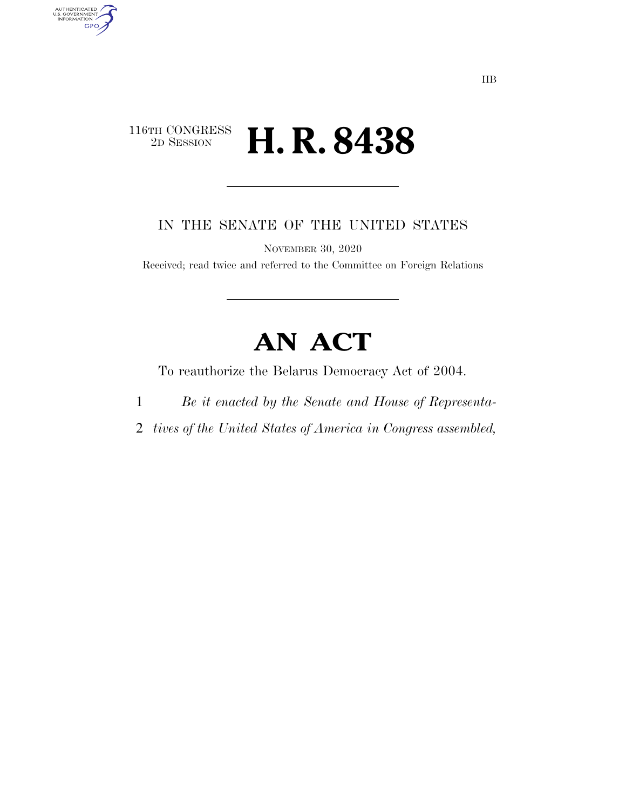# 116TH CONGRESS<br>2D SESSION 2D SESSION **H. R. 8438**

AUTHENTICATED<br>U.S. GOVERNMENT<br>INFORMATION

**GPO** 

IN THE SENATE OF THE UNITED STATES

NOVEMBER 30, 2020

Received; read twice and referred to the Committee on Foreign Relations

# **AN ACT**

To reauthorize the Belarus Democracy Act of 2004.

- 1 *Be it enacted by the Senate and House of Representa-*
- 2 *tives of the United States of America in Congress assembled,*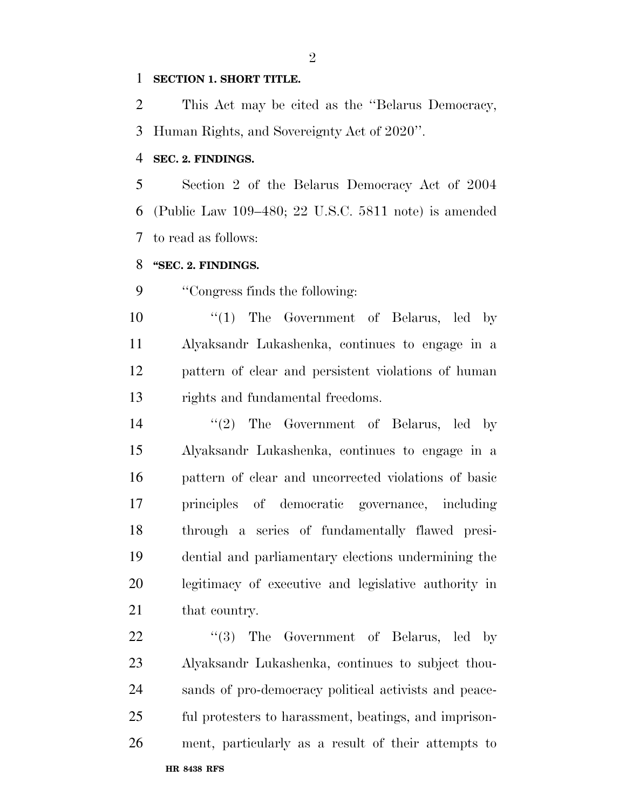#### **SECTION 1. SHORT TITLE.**

 This Act may be cited as the ''Belarus Democracy, Human Rights, and Sovereignty Act of 2020''.

### **SEC. 2. FINDINGS.**

 Section 2 of the Belarus Democracy Act of 2004 (Public Law 109–480; 22 U.S.C. 5811 note) is amended to read as follows:

# **''SEC. 2. FINDINGS.**

''Congress finds the following:

 ''(1) The Government of Belarus, led by Alyaksandr Lukashenka, continues to engage in a pattern of clear and persistent violations of human rights and fundamental freedoms.

14 ''(2) The Government of Belarus, led by Alyaksandr Lukashenka, continues to engage in a pattern of clear and uncorrected violations of basic principles of democratic governance, including through a series of fundamentally flawed presi- dential and parliamentary elections undermining the legitimacy of executive and legislative authority in 21 that country.

**HR 8438 RFS** 22 "(3) The Government of Belarus, led by Alyaksandr Lukashenka, continues to subject thou- sands of pro-democracy political activists and peace- ful protesters to harassment, beatings, and imprison-ment, particularly as a result of their attempts to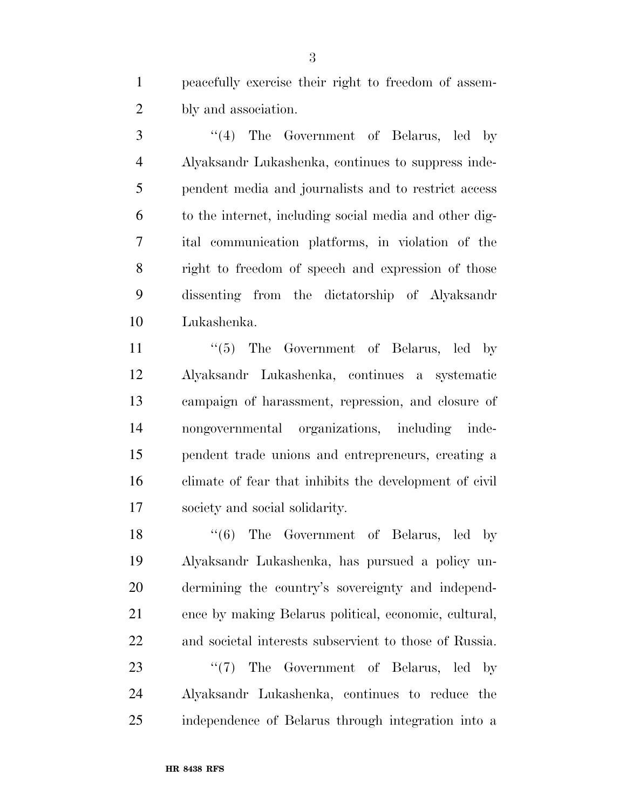peacefully exercise their right to freedom of assem-bly and association.

 ''(4) The Government of Belarus, led by Alyaksandr Lukashenka, continues to suppress inde- pendent media and journalists and to restrict access to the internet, including social media and other dig- ital communication platforms, in violation of the right to freedom of speech and expression of those dissenting from the dictatorship of Alyaksandr Lukashenka.

11 ''(5) The Government of Belarus, led by Alyaksandr Lukashenka, continues a systematic campaign of harassment, repression, and closure of nongovernmental organizations, including inde- pendent trade unions and entrepreneurs, creating a climate of fear that inhibits the development of civil society and social solidarity.

18 ''(6) The Government of Belarus, led by Alyaksandr Lukashenka, has pursued a policy un- dermining the country's sovereignty and independ- ence by making Belarus political, economic, cultural, and societal interests subservient to those of Russia.

23 "(7) The Government of Belarus, led by Alyaksandr Lukashenka, continues to reduce the independence of Belarus through integration into a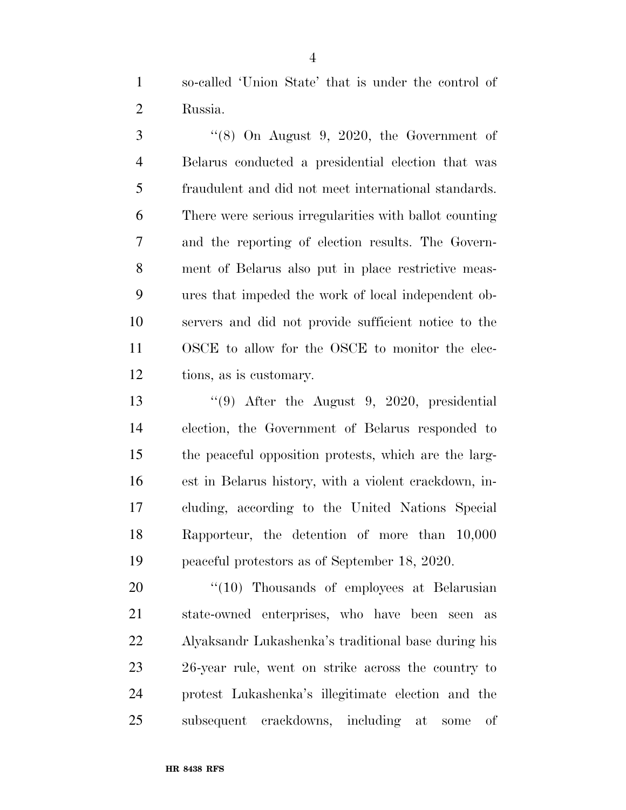so-called 'Union State' that is under the control of Russia.

 ''(8) On August 9, 2020, the Government of Belarus conducted a presidential election that was fraudulent and did not meet international standards. There were serious irregularities with ballot counting and the reporting of election results. The Govern- ment of Belarus also put in place restrictive meas- ures that impeded the work of local independent ob- servers and did not provide sufficient notice to the OSCE to allow for the OSCE to monitor the elec-tions, as is customary.

 ''(9) After the August 9, 2020, presidential election, the Government of Belarus responded to the peaceful opposition protests, which are the larg- est in Belarus history, with a violent crackdown, in- cluding, according to the United Nations Special Rapporteur, the detention of more than 10,000 peaceful protestors as of September 18, 2020.

20 "(10) Thousands of employees at Belarusian state-owned enterprises, who have been seen as Alyaksandr Lukashenka's traditional base during his 26-year rule, went on strike across the country to protest Lukashenka's illegitimate election and the subsequent crackdowns, including at some of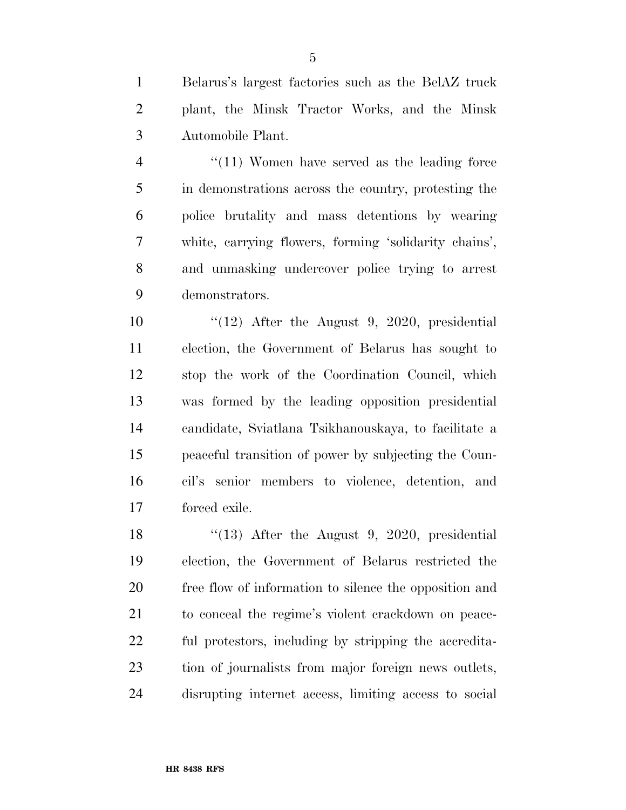Belarus's largest factories such as the BelAZ truck plant, the Minsk Tractor Works, and the Minsk Automobile Plant.

4 "(11) Women have served as the leading force in demonstrations across the country, protesting the police brutality and mass detentions by wearing white, carrying flowers, forming 'solidarity chains', and unmasking undercover police trying to arrest demonstrators.

10 "(12) After the August 9, 2020, presidential election, the Government of Belarus has sought to stop the work of the Coordination Council, which was formed by the leading opposition presidential candidate, Sviatlana Tsikhanouskaya, to facilitate a peaceful transition of power by subjecting the Coun- cil's senior members to violence, detention, and forced exile.

18 "(13) After the August 9, 2020, presidential election, the Government of Belarus restricted the free flow of information to silence the opposition and to conceal the regime's violent crackdown on peace- ful protestors, including by stripping the accredita- tion of journalists from major foreign news outlets, disrupting internet access, limiting access to social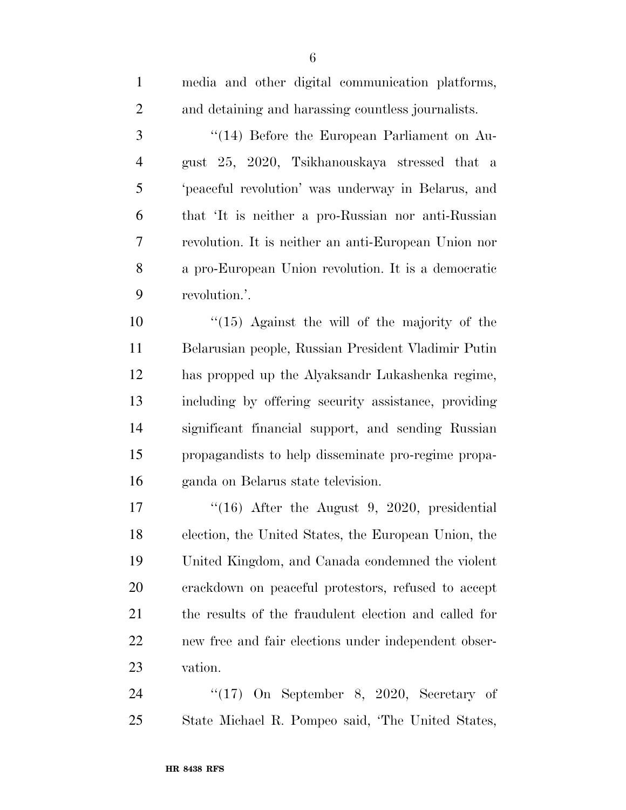| $\mathbf{1}$   | media and other digital communication platforms,      |
|----------------|-------------------------------------------------------|
| $\overline{2}$ | and detaining and harassing countless journalists.    |
| 3              | "(14) Before the European Parliament on Au-           |
| $\overline{4}$ | gust 25, 2020, Tsikhanouskaya stressed that a         |
| 5              | 'peaceful revolution' was underway in Belarus, and    |
| 6              | that 'It is neither a pro-Russian nor anti-Russian    |
| 7              | revolution. It is neither an anti-European Union nor  |
| 8              | a pro-European Union revolution. It is a democratic   |
| 9              | revolution.'.                                         |
| 10             | $(15)$ Against the will of the majority of the        |
| 11             | Belarusian people, Russian President Vladimir Putin   |
| 12             | has propped up the Alyaksandr Lukashenka regime,      |
| 13             | including by offering security assistance, providing  |
| 14             | significant financial support, and sending Russian    |
| 15             | propagandists to help disseminate pro-regime propa-   |
| 16             | ganda on Belarus state television.                    |
| 17             | $(16)$ After the August 9, 2020, presidential         |
| 18             | election, the United States, the European Union, the  |
| 19             | United Kingdom, and Canada condemned the violent      |
| 20             | crackdown on peaceful protestors, refused to accept   |
| 21             | the results of the fraudulent election and called for |
| 22             | new free and fair elections under independent obser-  |
| 23             | vation.                                               |
| 24             | " $(17)$ On September 8, 2020, Secretary of           |
| 25             | State Michael R. Pompeo said, 'The United States,     |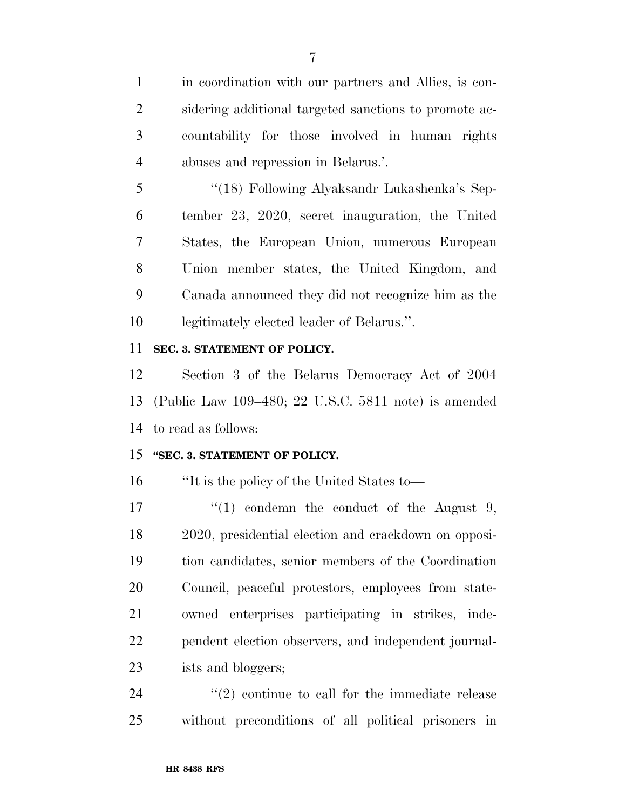in coordination with our partners and Allies, is con- sidering additional targeted sanctions to promote ac- countability for those involved in human rights abuses and repression in Belarus.'.

 ''(18) Following Alyaksandr Lukashenka's Sep- tember 23, 2020, secret inauguration, the United States, the European Union, numerous European Union member states, the United Kingdom, and Canada announced they did not recognize him as the legitimately elected leader of Belarus.''.

## **SEC. 3. STATEMENT OF POLICY.**

 Section 3 of the Belarus Democracy Act of 2004 (Public Law 109–480; 22 U.S.C. 5811 note) is amended to read as follows:

## **''SEC. 3. STATEMENT OF POLICY.**

''It is the policy of the United States to—

 $\frac{17}{2}$  (1) condemn the conduct of the August 9, 2020, presidential election and crackdown on opposi- tion candidates, senior members of the Coordination Council, peaceful protestors, employees from state- owned enterprises participating in strikes, inde- pendent election observers, and independent journal-ists and bloggers;

  $(2)$  continue to call for the immediate release without preconditions of all political prisoners in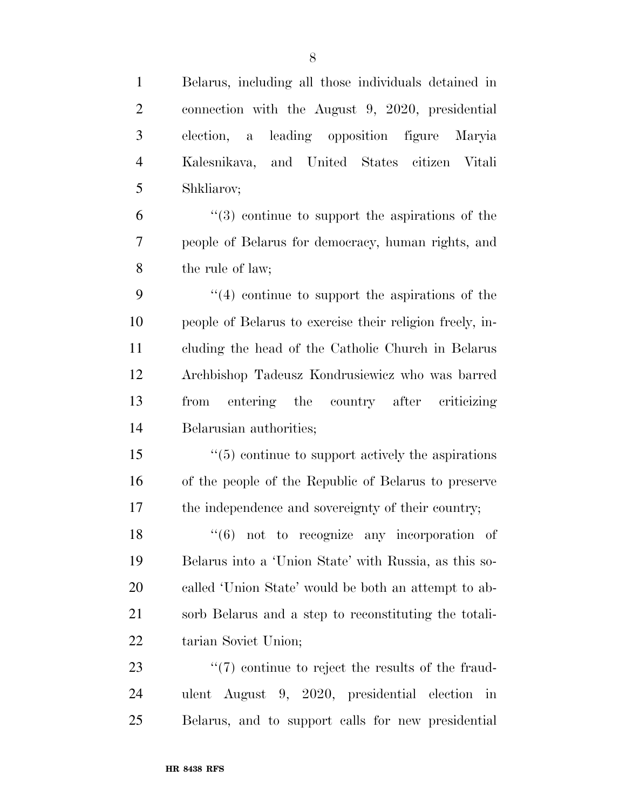| $\mathbf{1}$   | Belarus, including all those individuals detained in          |
|----------------|---------------------------------------------------------------|
| $\overline{2}$ | connection with the August 9, 2020, presidential              |
| 3              | a leading opposition figure<br>election,<br>Maryia            |
| $\overline{4}$ | Kalesnikava, and United States citizen Vitali                 |
| 5              | Shkliarov;                                                    |
| 6              | $(3)$ continue to support the aspirations of the              |
| 7              | people of Belarus for democracy, human rights, and            |
| 8              | the rule of law;                                              |
| 9              | $\cdot$ (4) continue to support the aspirations of the        |
| 10             | people of Belarus to exercise their religion freely, in-      |
| 11             | cluding the head of the Catholic Church in Belarus            |
| 12             | Archbishop Tadeusz Kondrusiewicz who was barred               |
| 13             | entering the country after criticizing<br>from                |
| 14             | Belarusian authorities;                                       |
| 15             | $\cdot\cdot$ (5) continue to support actively the aspirations |
| 16             | of the people of the Republic of Belarus to preserve          |
| 17             | the independence and sovereignty of their country;            |
| 18             | $(6)$ not to recognize any incorporation of                   |
| 19             | Belarus into a 'Union State' with Russia, as this so-         |
| 20             | called 'Union State' would be both an attempt to ab-          |
| 21             | sorb Belarus and a step to reconstituting the totali-         |
| 22             | tarian Soviet Union;                                          |
| 23             | $\lq(7)$ continue to reject the results of the fraud-         |
| 24             | ulent August 9, 2020, presidential election in                |
| 25             | Belarus, and to support calls for new presidential            |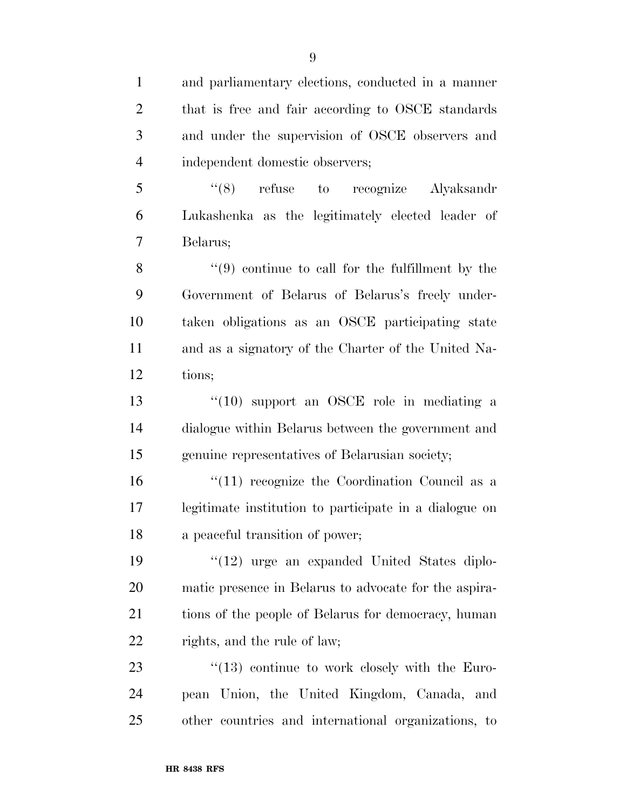| $\mathbf{1}$   | and parliamentary elections, conducted in a manner     |
|----------------|--------------------------------------------------------|
| $\overline{2}$ | that is free and fair according to OSCE standards      |
| 3              | and under the supervision of OSCE observers and        |
| $\overline{4}$ | independent domestic observers;                        |
| 5              | $(8)$ refuse to recognize Alyaksandr                   |
| 6              | Lukashenka as the legitimately elected leader of       |
| 7              | Belarus;                                               |
| 8              | $(9)$ continue to call for the fulfillment by the      |
| 9              | Government of Belarus of Belarus's freely under-       |
| 10             | taken obligations as an OSCE participating state       |
| 11             | and as a signatory of the Charter of the United Na-    |
| 12             | tions;                                                 |
| 13             | $\cdot$ (10) support an OSCE role in mediating a       |
| 14             | dialogue within Belarus between the government and     |
| 15             | genuine representatives of Belarusian society;         |
| 16             | $``(11)$ recognize the Coordination Council as a       |
| 17             | legitimate institution to participate in a dialogue on |
| 18             | a peaceful transition of power;                        |
| 19             | "(12) urge an expanded United States diplo-            |
| 20             | matic presence in Belarus to advocate for the aspira-  |
| 21             | tions of the people of Belarus for democracy, human    |
| 22             | rights, and the rule of law;                           |
| 23             | $\lq(13)$ continue to work closely with the Euro-      |
| 24             | pean Union, the United Kingdom, Canada, and            |
| 25             | other countries and international organizations, to    |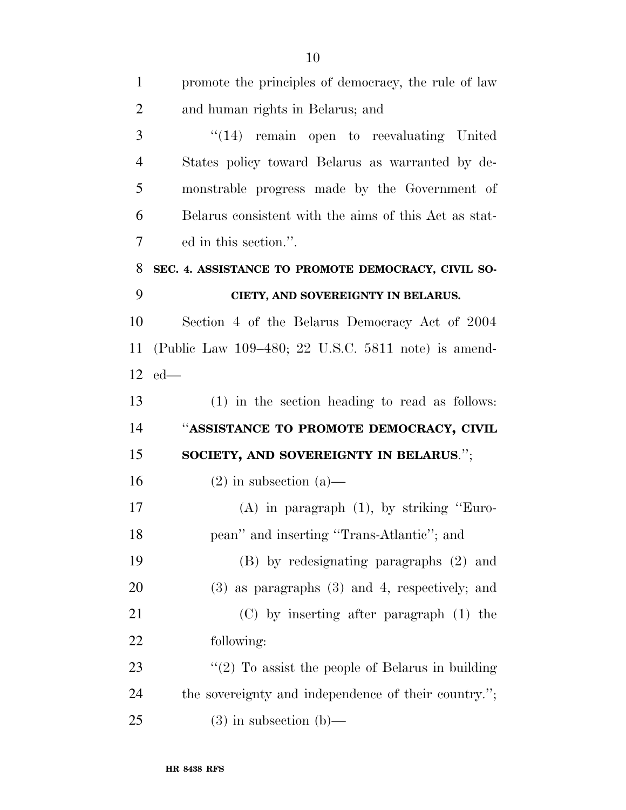| $\mathbf{1}$   | promote the principles of democracy, the rule of law  |
|----------------|-------------------------------------------------------|
| $\overline{2}$ | and human rights in Belarus; and                      |
| 3              | "(14) remain open to reevaluating United              |
| $\overline{4}$ | States policy toward Belarus as warranted by de-      |
| 5              | monstrable progress made by the Government of         |
| 6              | Belarus consistent with the aims of this Act as stat- |
| 7              | ed in this section.".                                 |
| 8              | SEC. 4. ASSISTANCE TO PROMOTE DEMOCRACY, CIVIL SO-    |
| 9              | CIETY, AND SOVEREIGNTY IN BELARUS.                    |
| 10             | Section 4 of the Belarus Democracy Act of 2004        |
| 11             | (Public Law 109–480; 22 U.S.C. 5811 note) is amend-   |
| 12             | $ed$ —                                                |
| 13             | $(1)$ in the section heading to read as follows:      |
| 14             | "ASSISTANCE TO PROMOTE DEMOCRACY, CIVIL               |
| 15             | SOCIETY, AND SOVEREIGNTY IN BELARUS.";                |
| 16             | $(2)$ in subsection $(a)$ —                           |
| 17             | $(A)$ in paragraph $(1)$ , by striking "Euro-         |
| 18             | pean" and inserting "Trans-Atlantic"; and             |
| 19             | (B) by redesignating paragraphs (2) and               |
| 20             | $(3)$ as paragraphs $(3)$ and 4, respectively; and    |
| 21             | $(C)$ by inserting after paragraph $(1)$ the          |
| 22             | following:                                            |
| 23             | " $(2)$ To assist the people of Belarus in building   |
| 24             | the sovereignty and independence of their country.";  |
| 25             | $(3)$ in subsection $(b)$ —                           |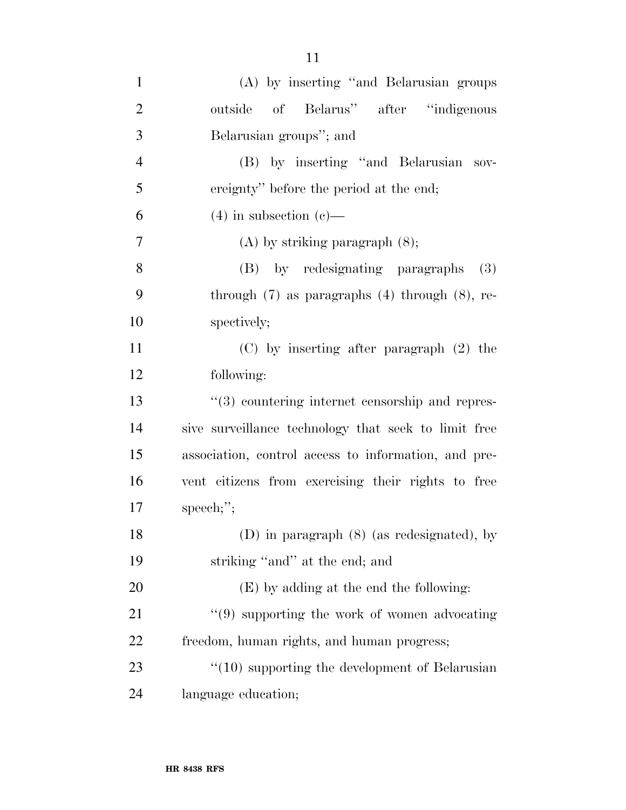| $\mathbf{1}$   | (A) by inserting "and Belarusian groups"                    |
|----------------|-------------------------------------------------------------|
| $\overline{2}$ | outside of Belarus" after "indigenous                       |
| 3              | Belarusian groups"; and                                     |
| $\overline{4}$ | (B) by inserting "and Belarusian sov-                       |
| 5              | ereignty" before the period at the end;                     |
| 6              | $(4)$ in subsection $(e)$ —                                 |
| 7              | $(A)$ by striking paragraph $(8)$ ;                         |
| 8              | (B) by redesignating paragraphs<br>(3)                      |
| 9              | through $(7)$ as paragraphs $(4)$ through $(8)$ , re-       |
| 10             | spectively;                                                 |
| 11             | $(C)$ by inserting after paragraph $(2)$ the                |
| 12             | following:                                                  |
| 13             | $\cdot\cdot$ (3) countering internet censorship and repres- |
| 14             | sive surveillance technology that seek to limit free        |
| 15             | association, control access to information, and pre-        |
| 16             | vent citizens from exercising their rights to free          |
| 17             | $\text{speed:}$ ";                                          |
| 18             | (D) in paragraph (8) (as redesignated), by                  |
| 19             | striking "and" at the end; and                              |
| 20             | (E) by adding at the end the following:                     |
| 21             | $\lq(9)$ supporting the work of women advocating            |
| 22             | freedom, human rights, and human progress;                  |
| 23             | $\cdot$ (10) supporting the development of Belarusian       |
| 24             | language education;                                         |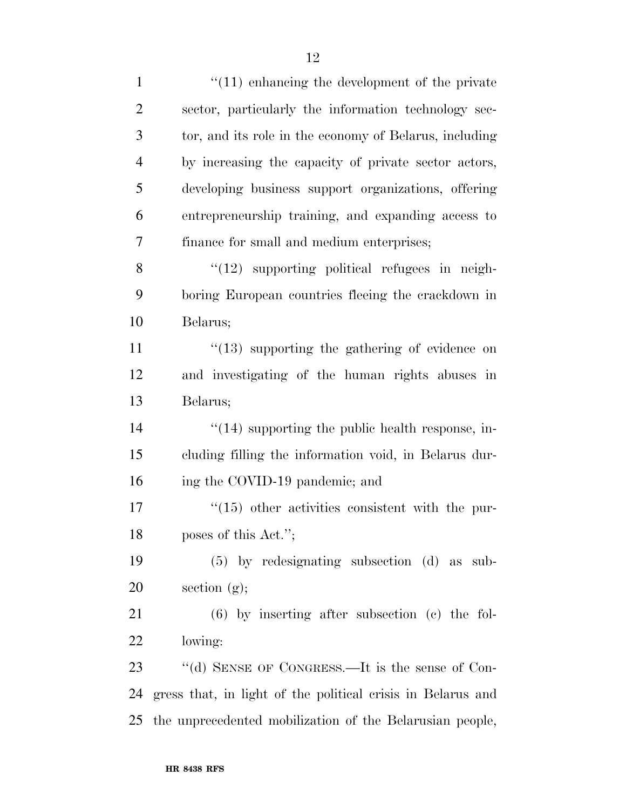| $\mathbf{1}$   | $\lq(11)$ enhancing the development of the private          |
|----------------|-------------------------------------------------------------|
| $\overline{2}$ | sector, particularly the information technology sec-        |
| 3              | tor, and its role in the economy of Belarus, including      |
| $\overline{4}$ | by increasing the capacity of private sector actors,        |
| 5              | developing business support organizations, offering         |
| 6              | entrepreneurship training, and expanding access to          |
| $\tau$         | finance for small and medium enterprises;                   |
| 8              | $"(12)$ supporting political refugees in neigh-             |
| 9              | boring European countries fleeing the crackdown in          |
| 10             | Belarus;                                                    |
| 11             | $\degree$ (13) supporting the gathering of evidence on      |
| 12             | and investigating of the human rights abuses in             |
| 13             | Belarus;                                                    |
| 14             | $\cdot$ (14) supporting the public health response, in-     |
| 15             | cluding filling the information void, in Belarus dur-       |
| 16             | ing the COVID-19 pandemic; and                              |
| $17\,$         | $\cdot\cdot(15)$ other activities consistent with the pur-  |
| 18             | poses of this Act.";                                        |
| 19             | $(5)$ by redesignating subsection $(d)$ as sub-             |
| 20             | section $(g)$ ;                                             |
| 21             | $(6)$ by inserting after subsection $(e)$ the fol-          |
| 22             | lowing:                                                     |
| 23             | "(d) SENSE OF CONGRESS.—It is the sense of Con-             |
| 24             | gress that, in light of the political crisis in Belarus and |
| 25             | the unprecedented mobilization of the Belarusian people,    |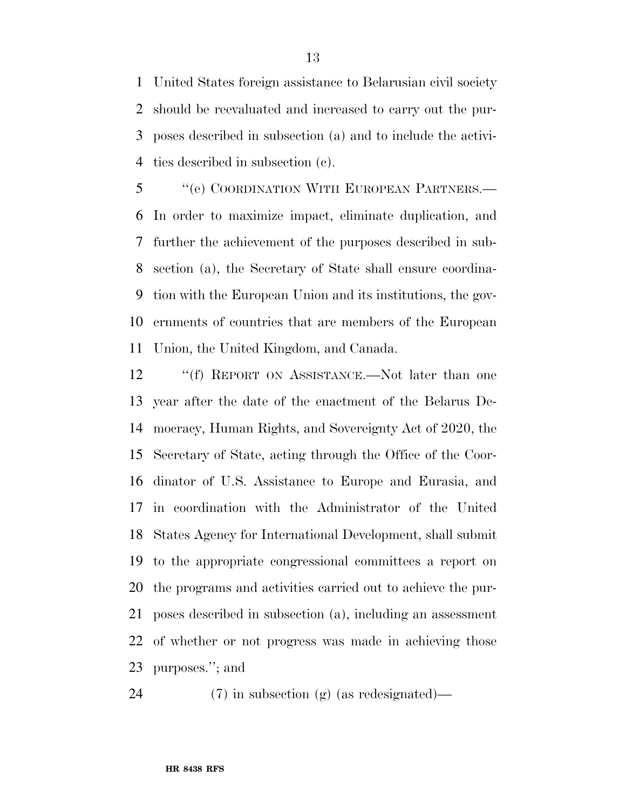United States foreign assistance to Belarusian civil society should be reevaluated and increased to carry out the pur- poses described in subsection (a) and to include the activi-ties described in subsection (c).

 ''(e) COORDINATION WITH EUROPEAN PARTNERS.— In order to maximize impact, eliminate duplication, and further the achievement of the purposes described in sub- section (a), the Secretary of State shall ensure coordina- tion with the European Union and its institutions, the gov- ernments of countries that are members of the European Union, the United Kingdom, and Canada.

12 "(f) REPORT ON ASSISTANCE.—Not later than one year after the date of the enactment of the Belarus De- mocracy, Human Rights, and Sovereignty Act of 2020, the Secretary of State, acting through the Office of the Coor- dinator of U.S. Assistance to Europe and Eurasia, and in coordination with the Administrator of the United States Agency for International Development, shall submit to the appropriate congressional committees a report on the programs and activities carried out to achieve the pur- poses described in subsection (a), including an assessment of whether or not progress was made in achieving those purposes.''; and

(7) in subsection (g) (as redesignated)—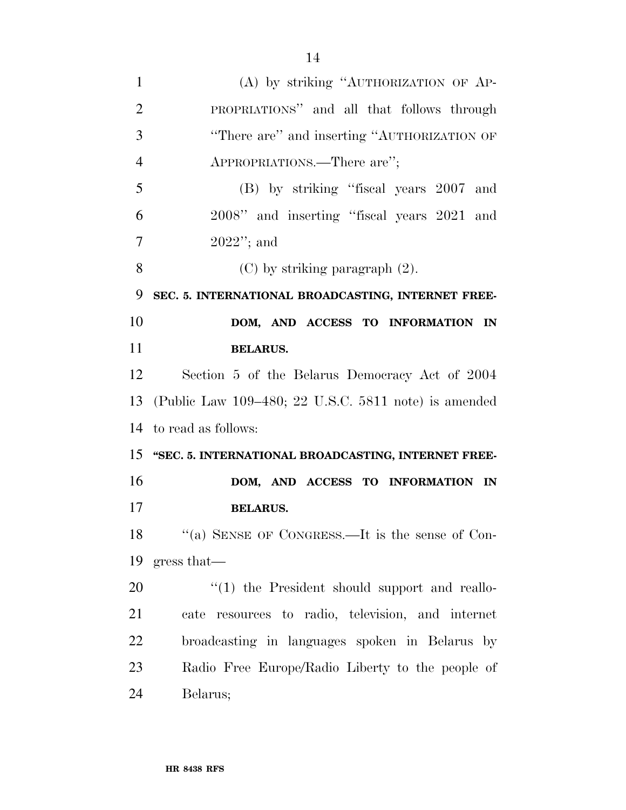| 1              | (A) by striking "AUTHORIZATION OF AP-                   |
|----------------|---------------------------------------------------------|
| $\overline{2}$ | PROPRIATIONS" and all that follows through              |
| 3              | "There are" and inserting "AUTHORIZATION OF             |
| $\overline{4}$ | APPROPRIATIONS.—There are";                             |
| 5              | (B) by striking "fiscal years 2007 and                  |
| 6              | 2008" and inserting "fiscal years 2021 and              |
| 7              | $2022"$ ; and                                           |
| 8              | $(C)$ by striking paragraph $(2)$ .                     |
| 9              | SEC. 5. INTERNATIONAL BROADCASTING, INTERNET FREE-      |
| 10             | DOM, AND ACCESS TO INFORMATION IN                       |
| 11             | <b>BELARUS.</b>                                         |
| 12             | Section 5 of the Belarus Democracy Act of 2004          |
| 13             | (Public Law $109-480$ ; 22 U.S.C. 5811 note) is amended |
|                | 14 to read as follows:                                  |
|                | 15 "SEC. 5. INTERNATIONAL BROADCASTING, INTERNET FREE-  |
| 16             | DOM, AND ACCESS TO INFORMATION IN                       |
| 17             | <b>BELARUS.</b>                                         |
| 18             | "(a) SENSE OF CONGRESS.—It is the sense of Con-         |
| 19             | gress that—                                             |
| 20             | $\lq(1)$ the President should support and reallo-       |
| 21             | cate resources to radio, television, and internet       |
| <u>22</u>      | broadcasting in languages spoken in Belarus by          |
| 23             | Radio Free Europe/Radio Liberty to the people of        |
| 24             | Belarus;                                                |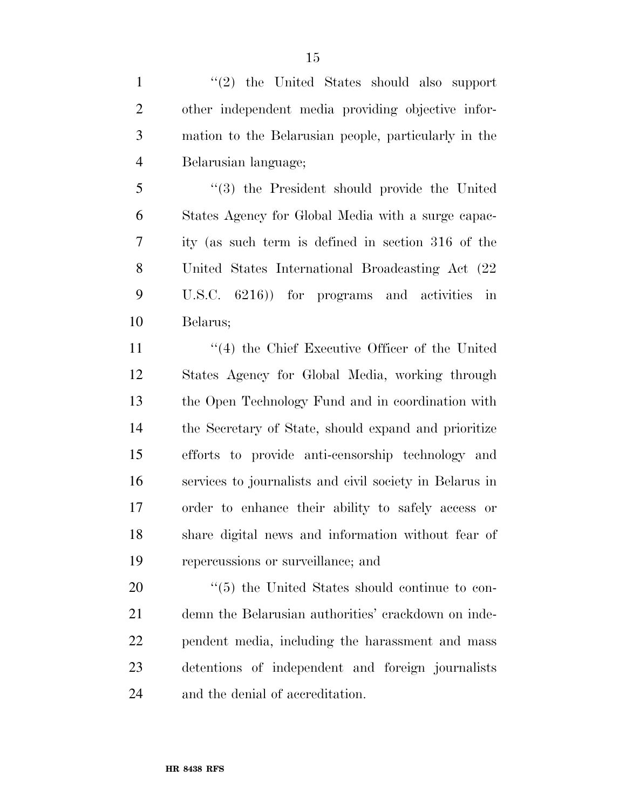1 ''(2) the United States should also support other independent media providing objective infor- mation to the Belarusian people, particularly in the Belarusian language;

 ''(3) the President should provide the United States Agency for Global Media with a surge capac- ity (as such term is defined in section 316 of the United States International Broadcasting Act (22 U.S.C. 6216)) for programs and activities in Belarus;

11 ''(4) the Chief Executive Officer of the United States Agency for Global Media, working through the Open Technology Fund and in coordination with the Secretary of State, should expand and prioritize efforts to provide anti-censorship technology and services to journalists and civil society in Belarus in order to enhance their ability to safely access or share digital news and information without fear of repercussions or surveillance; and

 $\frac{1}{20}$  the United States should continue to con- demn the Belarusian authorities' crackdown on inde- pendent media, including the harassment and mass detentions of independent and foreign journalists and the denial of accreditation.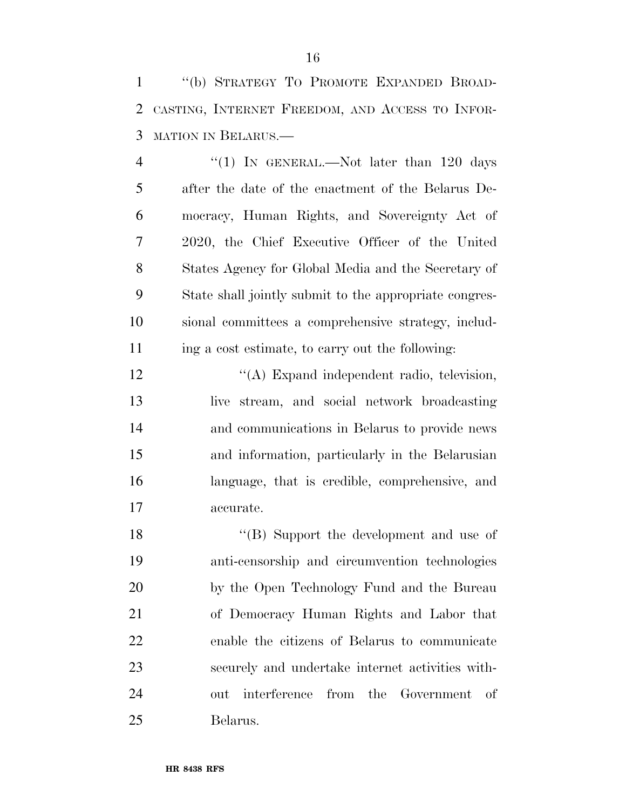''(b) STRATEGY TO PROMOTE EXPANDED BROAD- CASTING, INTERNET FREEDOM, AND ACCESS TO INFOR-MATION IN BELARUS.—

4 "(1) IN GENERAL.—Not later than 120 days after the date of the enactment of the Belarus De- mocracy, Human Rights, and Sovereignty Act of 2020, the Chief Executive Officer of the United States Agency for Global Media and the Secretary of State shall jointly submit to the appropriate congres- sional committees a comprehensive strategy, includ-ing a cost estimate, to carry out the following:

12 ''(A) Expand independent radio, television, live stream, and social network broadcasting and communications in Belarus to provide news and information, particularly in the Belarusian language, that is credible, comprehensive, and accurate.

18 ''(B) Support the development and use of anti-censorship and circumvention technologies by the Open Technology Fund and the Bureau of Democracy Human Rights and Labor that enable the citizens of Belarus to communicate securely and undertake internet activities with- out interference from the Government of Belarus.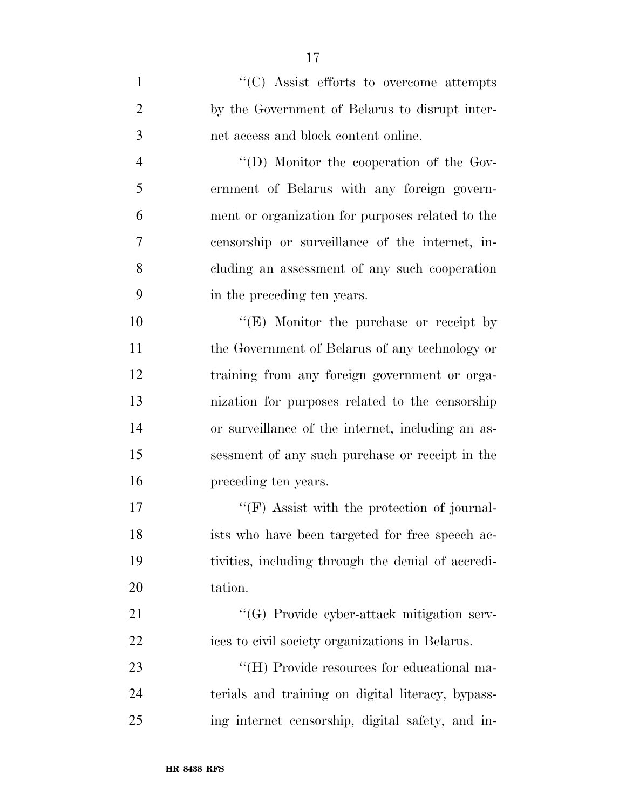1  $\lq(0)$  Assist efforts to overcome attempts by the Government of Belarus to disrupt inter-net access and block content online.

 ''(D) Monitor the cooperation of the Gov- ernment of Belarus with any foreign govern- ment or organization for purposes related to the censorship or surveillance of the internet, in- cluding an assessment of any such cooperation in the preceding ten years.

 $"$ (E) Monitor the purchase or receipt by the Government of Belarus of any technology or training from any foreign government or orga- nization for purposes related to the censorship or surveillance of the internet, including an as- sessment of any such purchase or receipt in the preceding ten years.

17 ''(F) Assist with the protection of journal- ists who have been targeted for free speech ac- tivities, including through the denial of accredi-tation.

21 ''(G) Provide cyber-attack mitigation serv-ices to civil society organizations in Belarus.

23  $\cdot$  (H) Provide resources for educational ma- terials and training on digital literacy, bypass-ing internet censorship, digital safety, and in-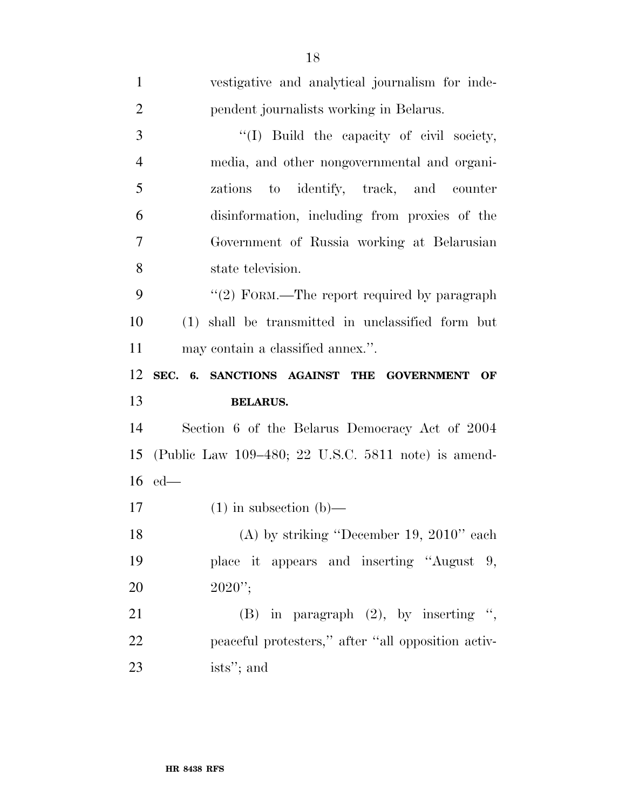| $\mathbf{1}$   | vestigative and analytical journalism for inde-          |
|----------------|----------------------------------------------------------|
| $\overline{2}$ | pendent journalists working in Belarus.                  |
| 3              | "(I) Build the capacity of civil society,                |
| $\overline{4}$ | media, and other nongovernmental and organi-             |
| 5              | zations to identify, track, and counter                  |
| 6              | disinformation, including from proxies of the            |
| $\overline{7}$ | Government of Russia working at Belarusian               |
| 8              | state television.                                        |
| 9              | " $(2)$ FORM.—The report required by paragraph           |
| 10             | (1) shall be transmitted in unclassified form but        |
| 11             | may contain a classified annex.".                        |
| 12             | SEC. 6. SANCTIONS AGAINST THE<br><b>GOVERNMENT</b><br>OF |
| 13             | <b>BELARUS.</b>                                          |
| 14             | Section 6 of the Belarus Democracy Act of 2004           |
| 15             |                                                          |
|                | (Public Law 109–480; 22 U.S.C. 5811 note) is amend-      |
|                | $16$ ed—                                                 |
| 17             | $(1)$ in subsection $(b)$ —                              |
| 18             | (A) by striking "December 19, 2010" each                 |
| 19             | place it appears and inserting "August 9,                |
| 20             | $2020$ ";                                                |
| 21             | (B) in paragraph $(2)$ , by inserting ",                 |
| 22             | peaceful protesters," after "all opposition activ-       |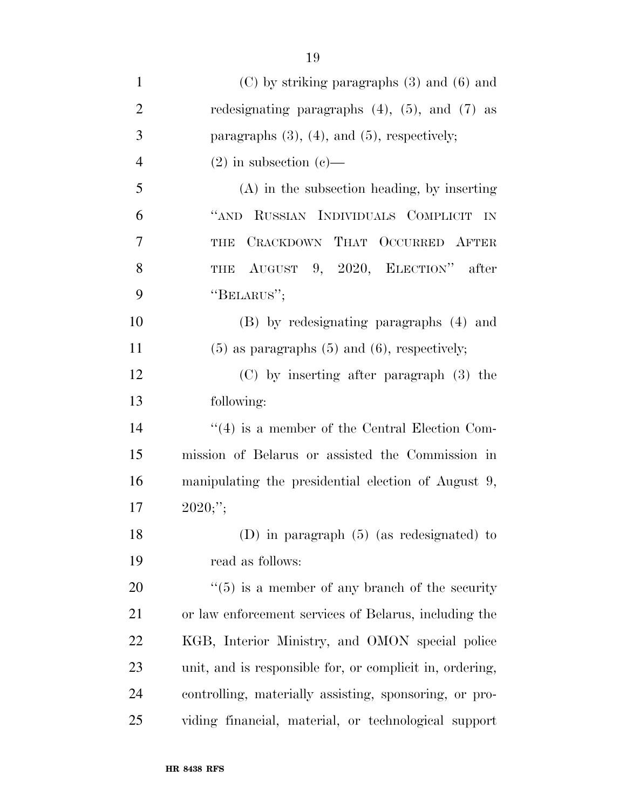| $\mathbf{1}$   | $(C)$ by striking paragraphs $(3)$ and $(6)$ and               |
|----------------|----------------------------------------------------------------|
| $\overline{2}$ | redesignating paragraphs $(4)$ , $(5)$ , and $(7)$ as          |
| 3              | paragraphs $(3)$ , $(4)$ , and $(5)$ , respectively;           |
| $\overline{4}$ | $(2)$ in subsection $(e)$ —                                    |
| 5              | $(A)$ in the subsection heading, by inserting                  |
| 6              | "AND RUSSIAN INDIVIDUALS COMPLICIT IN                          |
| 7              | CRACKDOWN THAT OCCURRED AFTER<br><b>THE</b>                    |
| 8              | THE AUGUST 9, 2020, ELECTION" after                            |
| 9              | "BELARUS";                                                     |
| 10             | (B) by redesignating paragraphs (4) and                        |
| 11             | $(5)$ as paragraphs $(5)$ and $(6)$ , respectively;            |
| 12             | $(C)$ by inserting after paragraph $(3)$ the                   |
| 13             | following:                                                     |
| 14             | $\lq(4)$ is a member of the Central Election Com-              |
| 15             | mission of Belarus or assisted the Commission in               |
| 16             | manipulating the presidential election of August 9,            |
| 17             | 2020;                                                          |
| 18             | (D) in paragraph $(5)$ (as redesignated) to                    |
| 19             | read as follows:                                               |
| 20             | $\cdot\cdot\cdot(5)$ is a member of any branch of the security |
| 21             | or law enforcement services of Belarus, including the          |
| 22             | KGB, Interior Ministry, and OMON special police                |
| 23             | unit, and is responsible for, or complicit in, ordering,       |
| 24             | controlling, materially assisting, sponsoring, or pro-         |
| 25             | viding financial, material, or technological support           |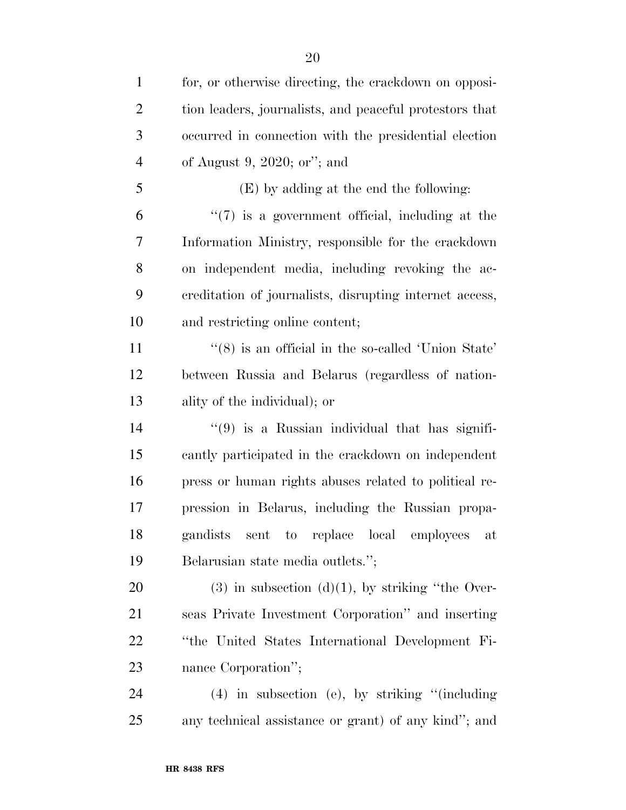| $\mathbf{1}$   | for, or otherwise directing, the crackdown on opposi-          |
|----------------|----------------------------------------------------------------|
| $\overline{2}$ | tion leaders, journalists, and peaceful protestors that        |
| 3              | occurred in connection with the presidential election          |
| $\overline{4}$ | of August 9, 2020; or"; and                                    |
| 5              | (E) by adding at the end the following:                        |
| 6              | $\lq(7)$ is a government official, including at the            |
| 7              | Information Ministry, responsible for the crackdown            |
| 8              | on independent media, including revoking the ac-               |
| 9              | creditation of journalists, disrupting internet access,        |
| 10             | and restricting online content;                                |
| 11             | $\cdot\cdot$ (8) is an official in the so-called 'Union State' |
| 12             | between Russia and Belarus (regardless of nation-              |
| 13             | ality of the individual); or                                   |
| 14             | $\cdot\cdot\cdot(9)$ is a Russian individual that has signifi- |
| 15             | cantly participated in the crackdown on independent            |
| 16             | press or human rights abuses related to political re-          |
| 17             | pression in Belarus, including the Russian propa-              |
| 18             | gandists sent to replace local employees<br>at                 |
| 19             | Belarusian state media outlets.";                              |
| 20             | $(3)$ in subsection $(d)(1)$ , by striking "the Over-          |
| 21             | seas Private Investment Corporation" and inserting             |
| 22             | "the United States International Development Fi-               |
| 23             | nance Corporation";                                            |
| 24             | $(4)$ in subsection (e), by striking "(including               |
| 25             | any technical assistance or grant) of any kind"; and           |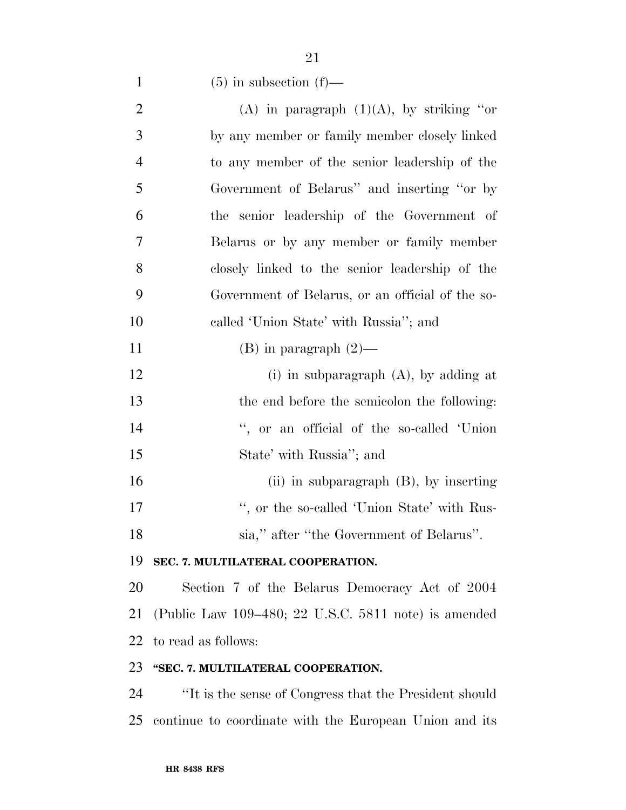1 (5) in subsection  $(f)$ —

| $\overline{2}$ | (A) in paragraph $(1)(A)$ , by striking "or             |
|----------------|---------------------------------------------------------|
| 3              | by any member or family member closely linked           |
| $\overline{4}$ | to any member of the senior leadership of the           |
| 5              | Government of Belarus" and inserting "or by             |
| 6              | the senior leadership of the Government of              |
| 7              | Belarus or by any member or family member               |
| 8              | closely linked to the senior leadership of the          |
| 9              | Government of Belarus, or an official of the so-        |
| 10             | called 'Union State' with Russia''; and                 |
| 11             | $(B)$ in paragraph $(2)$ —                              |
| 12             | (i) in subparagraph $(A)$ , by adding at                |
| 13             | the end before the semicolon the following:             |
| 14             | ", or an official of the so-called 'Union               |
| 15             | State' with Russia''; and                               |
| 16             | (ii) in subparagraph $(B)$ , by inserting               |
| 17             | ", or the so-called 'Union State' with Rus-             |
| 18             | sia," after "the Government of Belarus".                |
| 19             | SEC. 7. MULTILATERAL COOPERATION.                       |
| 20             | Section 7 of the Belarus Democracy Act of 2004          |
| 21             | (Public Law $109-480$ ; 22 U.S.C. 5811 note) is amended |
| 22             | to read as follows:                                     |
|                |                                                         |

# **''SEC. 7. MULTILATERAL COOPERATION.**

 ''It is the sense of Congress that the President should continue to coordinate with the European Union and its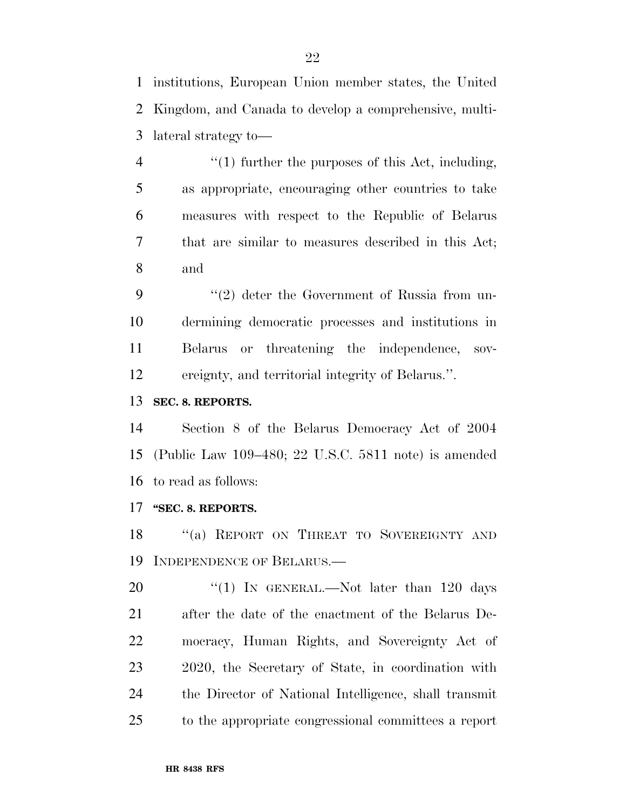institutions, European Union member states, the United Kingdom, and Canada to develop a comprehensive, multi-lateral strategy to—

 $\frac{4}{1}$  ''(1) further the purposes of this Act, including, as appropriate, encouraging other countries to take measures with respect to the Republic of Belarus that are similar to measures described in this Act; and

9 ''(2) deter the Government of Russia from un- dermining democratic processes and institutions in Belarus or threatening the independence, sov-ereignty, and territorial integrity of Belarus.''.

### **SEC. 8. REPORTS.**

 Section 8 of the Belarus Democracy Act of 2004 (Public Law 109–480; 22 U.S.C. 5811 note) is amended to read as follows:

#### **''SEC. 8. REPORTS.**

18 "(a) REPORT ON THREAT TO SOVEREIGNTY AND INDEPENDENCE OF BELARUS.—

20 "(1) In GENERAL.—Not later than 120 days after the date of the enactment of the Belarus De- mocracy, Human Rights, and Sovereignty Act of 2020, the Secretary of State, in coordination with the Director of National Intelligence, shall transmit to the appropriate congressional committees a report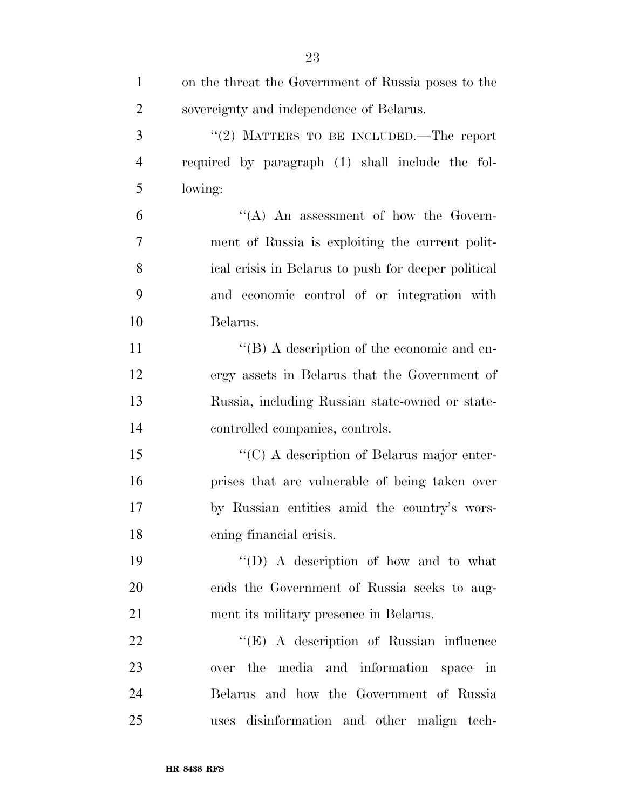| $\mathbf{1}$   | on the threat the Government of Russia poses to the |
|----------------|-----------------------------------------------------|
| $\overline{2}$ | sovereignty and independence of Belarus.            |
| 3              | "(2) MATTERS TO BE INCLUDED.—The report             |
| $\overline{4}$ | required by paragraph (1) shall include the fol-    |
| 5              | lowing:                                             |
| 6              | $\lq\lq$ An assessment of how the Govern-           |
| 7              | ment of Russia is exploiting the current polit-     |
| 8              | ical crisis in Belarus to push for deeper political |
| 9              | and economic control of or integration with         |
| 10             | Belarus.                                            |
| 11             | $\lq\lq$ (B) A description of the economic and en-  |
| 12             | ergy assets in Belarus that the Government of       |
| 13             | Russia, including Russian state-owned or state-     |
| 14             | controlled companies, controls.                     |
| 15             | " $(C)$ A description of Belarus major enter-       |
| 16             | prises that are vulnerable of being taken over      |
| 17             | by Russian entities amid the country's wors-        |
| 18             | ening financial crisis.                             |
| 19             | "(D) A description of how and to what               |
| 20             | ends the Government of Russia seeks to aug-         |
| 21             | ment its military presence in Belarus.              |
| 22             | $\lq\lq(E)$ A description of Russian influence      |
| 23             | over the media and information space in             |
| 24             | Belarus and how the Government of Russia            |
| 25             | uses disinformation and other malign tech-          |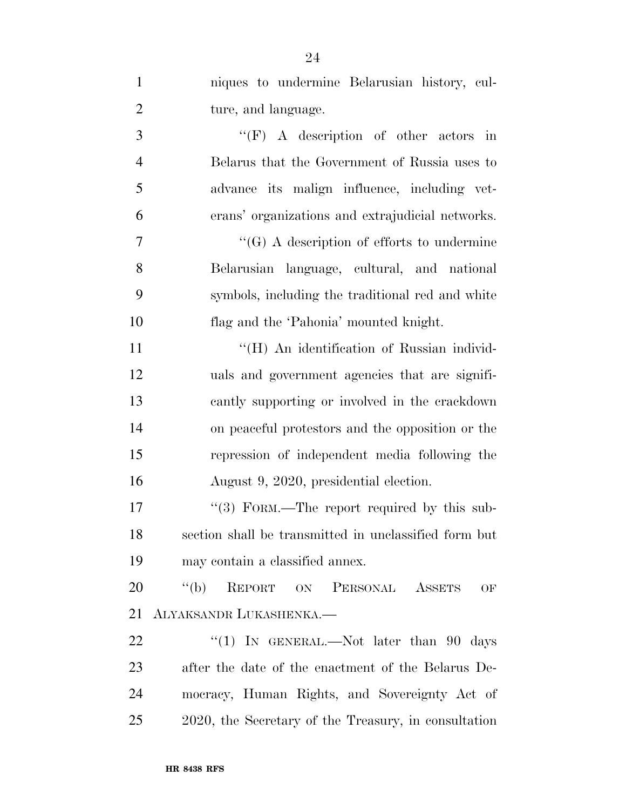| $\mathbf{1}$   | niques to undermine Belarusian history, cul-          |
|----------------|-------------------------------------------------------|
| $\overline{2}$ | ture, and language.                                   |
| 3              | $\lq\lq(F)$ A description of other actors in          |
| $\overline{4}$ | Belarus that the Government of Russia uses to         |
| 5              | advance its malign influence, including vet-          |
| 6              | erans' organizations and extrajudicial networks.      |
| 7              | $\lq\lq(G)$ A description of efforts to undermine     |
| 8              | Belarusian language, cultural, and national           |
| 9              | symbols, including the traditional red and white      |
| 10             | flag and the 'Pahonia' mounted knight.                |
| 11             | "(H) An identification of Russian individ-            |
| 12             | uals and government agencies that are signifi-        |
| 13             | cantly supporting or involved in the crackdown        |
| 14             | on peaceful protestors and the opposition or the      |
| 15             | repression of independent media following the         |
| 16             | August 9, 2020, presidential election.                |
| 17             | "(3) FORM.—The report required by this sub-           |
| 18             | section shall be transmitted in unclassified form but |
| 19             | may contain a classified annex.                       |
| 20             | REPORT ON PERSONAL ASSETS<br>$\lq\lq(b)$<br>OF        |
| 21             | ALYAKSANDR LUKASHENKA.—                               |
| 22             | "(1) IN GENERAL.—Not later than 90 days               |
| 23             | after the date of the enactment of the Belarus De-    |
| 24             | mocracy, Human Rights, and Sovereignty Act of         |
| 25             | 2020, the Secretary of the Treasury, in consultation  |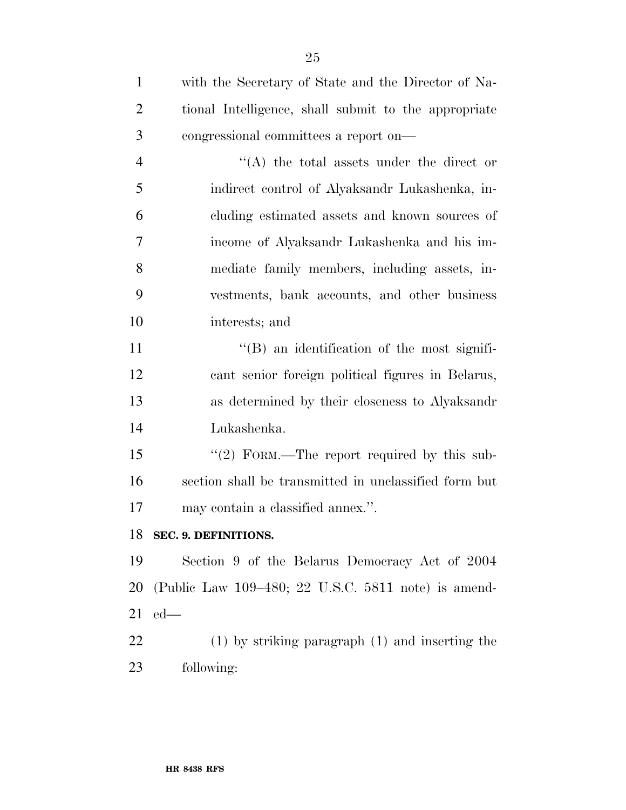| $\mathbf{1}$   | with the Secretary of State and the Director of Na-   |
|----------------|-------------------------------------------------------|
| $\overline{2}$ | tional Intelligence, shall submit to the appropriate  |
| 3              | congressional committees a report on—                 |
| $\overline{4}$ | $\lq\lq$ the total assets under the direct or         |
| 5              | indirect control of Alyaksandr Lukashenka, in-        |
| 6              | cluding estimated assets and known sources of         |
| 7              | income of Alyaksandr Lukashenka and his im-           |
| 8              | mediate family members, including assets, in-         |
| 9              | vestments, bank accounts, and other business          |
| 10             | interests; and                                        |
| 11             | $\lq\lq$ an identification of the most signifi-       |
| 12             | cant senior foreign political figures in Belarus,     |
| 13             | as determined by their closeness to Alyaksandr        |
| 14             | Lukashenka.                                           |
| 15             | "(2) FORM.—The report required by this sub-           |
| 16             | section shall be transmitted in unclassified form but |
| 17             | may contain a classified annex.".                     |
| 18             | SEC. 9. DEFINITIONS.                                  |
| 19             | Section 9 of the Belarus Democracy Act of 2004        |
| 20             | (Public Law 109–480; 22 U.S.C. 5811 note) is amend-   |
| 21             | $ed$ —                                                |
| 22             | $(1)$ by striking paragraph $(1)$ and inserting the   |
| 23             | following:                                            |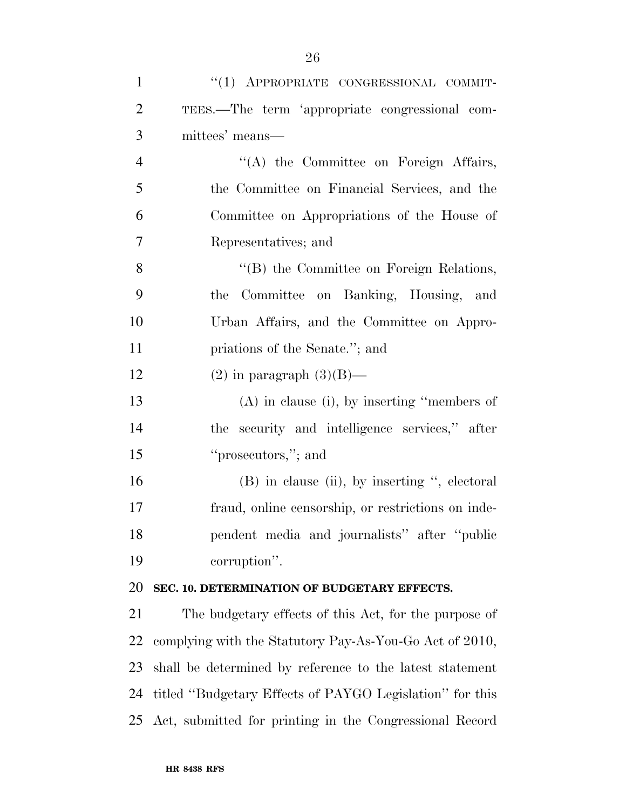| $\mathbf{1}$   | "(1) APPROPRIATE CONGRESSIONAL COMMIT-                   |
|----------------|----------------------------------------------------------|
| $\overline{2}$ | TEES.—The term 'appropriate congressional com-           |
| 3              | mittees' means—                                          |
| $\overline{4}$ | $\lq\lq$ the Committee on Foreign Affairs,               |
| 5              | the Committee on Financial Services, and the             |
| 6              | Committee on Appropriations of the House of              |
| $\tau$         | Representatives; and                                     |
| 8              | "(B) the Committee on Foreign Relations,                 |
| 9              | the Committee on Banking, Housing, and                   |
| 10             | Urban Affairs, and the Committee on Appro-               |
| 11             | priations of the Senate."; and                           |
| 12             | $(2)$ in paragraph $(3)(B)$ —                            |
| 13             | $(A)$ in clause (i), by inserting "members of            |
| 14             | the security and intelligence services," after           |
| 15             | "prosecutors,"; and                                      |
| 16             | $(B)$ in clause (ii), by inserting ", electoral          |
| 17             | fraud, online censorship, or restrictions on inde-       |
| 18             | pendent media and journalists" after "public             |
| 19             | corruption".                                             |
| 20             | SEC. 10. DETERMINATION OF BUDGETARY EFFECTS.             |
| 21             | The budgetary effects of this Act, for the purpose of    |
| 22             | complying with the Statutory Pay-As-You-Go Act of 2010,  |
| 23             | shall be determined by reference to the latest statement |
| 24             | titled "Budgetary Effects of PAYGO Legislation" for this |
| 25             | Act, submitted for printing in the Congressional Record  |